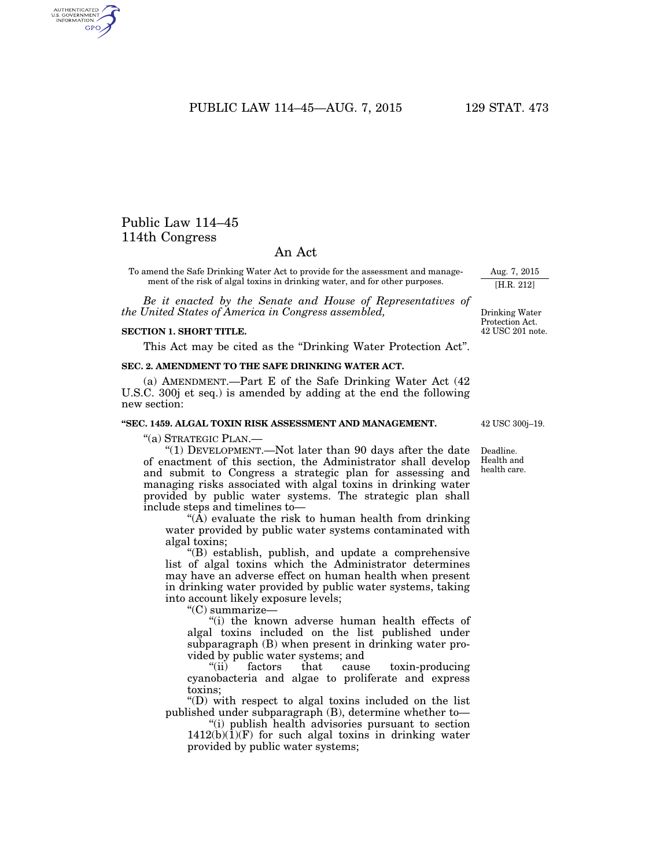PUBLIC LAW 114-45-AUG. 7, 2015 129 STAT. 473

# Public Law 114–45 114th Congress

AUTHENTICATED<br>U.S. GOVERNMENT<br>INFORMATION GPO

## An Act

To amend the Safe Drinking Water Act to provide for the assessment and management of the risk of algal toxins in drinking water, and for other purposes.

*Be it enacted by the Senate and House of Representatives of the United States of America in Congress assembled,* 

#### **SECTION 1. SHORT TITLE.**

This Act may be cited as the ''Drinking Water Protection Act''.

### **SEC. 2. AMENDMENT TO THE SAFE DRINKING WATER ACT.**

(a) AMENDMENT.—Part E of the Safe Drinking Water Act (42 U.S.C. 300j et seq.) is amended by adding at the end the following new section:

#### **''SEC. 1459. ALGAL TOXIN RISK ASSESSMENT AND MANAGEMENT.**

''(a) STRATEGIC PLAN.—

''(1) DEVELOPMENT.—Not later than 90 days after the date of enactment of this section, the Administrator shall develop and submit to Congress a strategic plan for assessing and managing risks associated with algal toxins in drinking water provided by public water systems. The strategic plan shall include steps and timelines to—

"( $\bar{A}$ ) evaluate the risk to human health from drinking water provided by public water systems contaminated with algal toxins;

''(B) establish, publish, and update a comprehensive list of algal toxins which the Administrator determines may have an adverse effect on human health when present in drinking water provided by public water systems, taking into account likely exposure levels;

''(C) summarize—

''(i) the known adverse human health effects of algal toxins included on the list published under subparagraph (B) when present in drinking water provided by public water systems; and

''(ii) factors that cause toxin-producing cyanobacteria and algae to proliferate and express toxins;

''(D) with respect to algal toxins included on the list published under subparagraph (B), determine whether to—

''(i) publish health advisories pursuant to section 1412(b)(1)(F) for such algal toxins in drinking water provided by public water systems;

42 USC 300j–19.

Deadline. Health and health care.

[H.R. 212]

Drinking Water Protection Act. 42 USC 201 note.

Aug. 7, 2015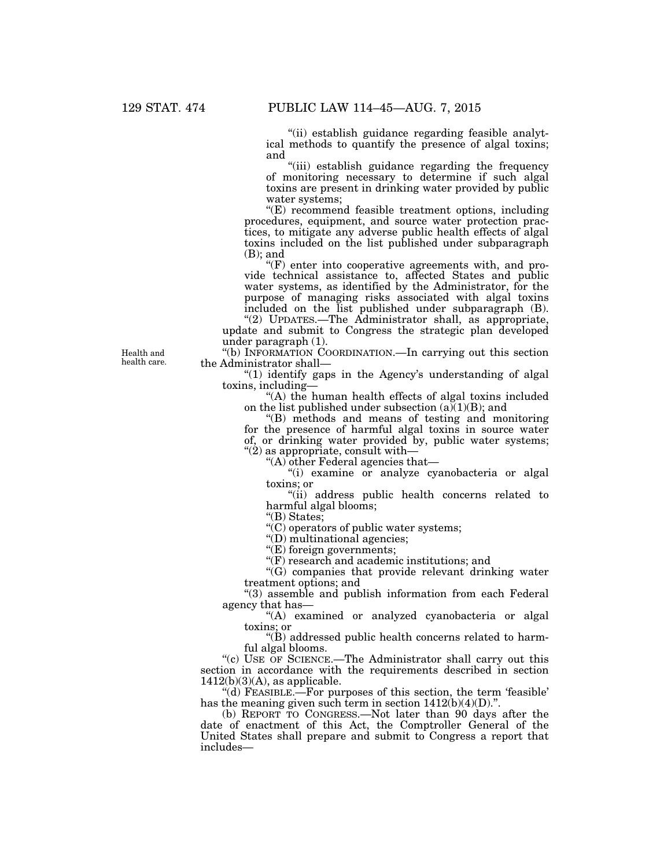''(ii) establish guidance regarding feasible analytical methods to quantify the presence of algal toxins; and

''(iii) establish guidance regarding the frequency of monitoring necessary to determine if such algal toxins are present in drinking water provided by public water systems;

''(E) recommend feasible treatment options, including procedures, equipment, and source water protection practices, to mitigate any adverse public health effects of algal toxins included on the list published under subparagraph (B); and

''(F) enter into cooperative agreements with, and provide technical assistance to, affected States and public water systems, as identified by the Administrator, for the purpose of managing risks associated with algal toxins included on the list published under subparagraph (B).

''(2) UPDATES.—The Administrator shall, as appropriate, update and submit to Congress the strategic plan developed under paragraph (1).

''(b) INFORMATION COORDINATION.—In carrying out this section the Administrator shall—

" $(1)$  identify gaps in the Agency's understanding of algal toxins, including—

''(A) the human health effects of algal toxins included on the list published under subsection  $(a)(1)(B)$ ; and

''(B) methods and means of testing and monitoring for the presence of harmful algal toxins in source water of, or drinking water provided by, public water systems;  $\degree$ (2) as appropriate, consult with—

''(A) other Federal agencies that—

''(i) examine or analyze cyanobacteria or algal toxins; or

"(ii) address public health concerns related to harmful algal blooms;

''(B) States;

''(C) operators of public water systems;

''(D) multinational agencies;

''(E) foreign governments;

''(F) research and academic institutions; and

 $'(G)$  companies that provide relevant drinking water treatment options; and

''(3) assemble and publish information from each Federal agency that has—

''(A) examined or analyzed cyanobacteria or algal toxins; or

''(B) addressed public health concerns related to harmful algal blooms.

"(c) USE OF SCIENCE.—The Administrator shall carry out this section in accordance with the requirements described in section 1412(b)(3)(A), as applicable.

''(d) FEASIBLE.—For purposes of this section, the term 'feasible' has the meaning given such term in section  $1412(b)(4)(D)$ .".

(b) REPORT TO CONGRESS.—Not later than 90 days after the date of enactment of this Act, the Comptroller General of the United States shall prepare and submit to Congress a report that includes—

Health and health care.